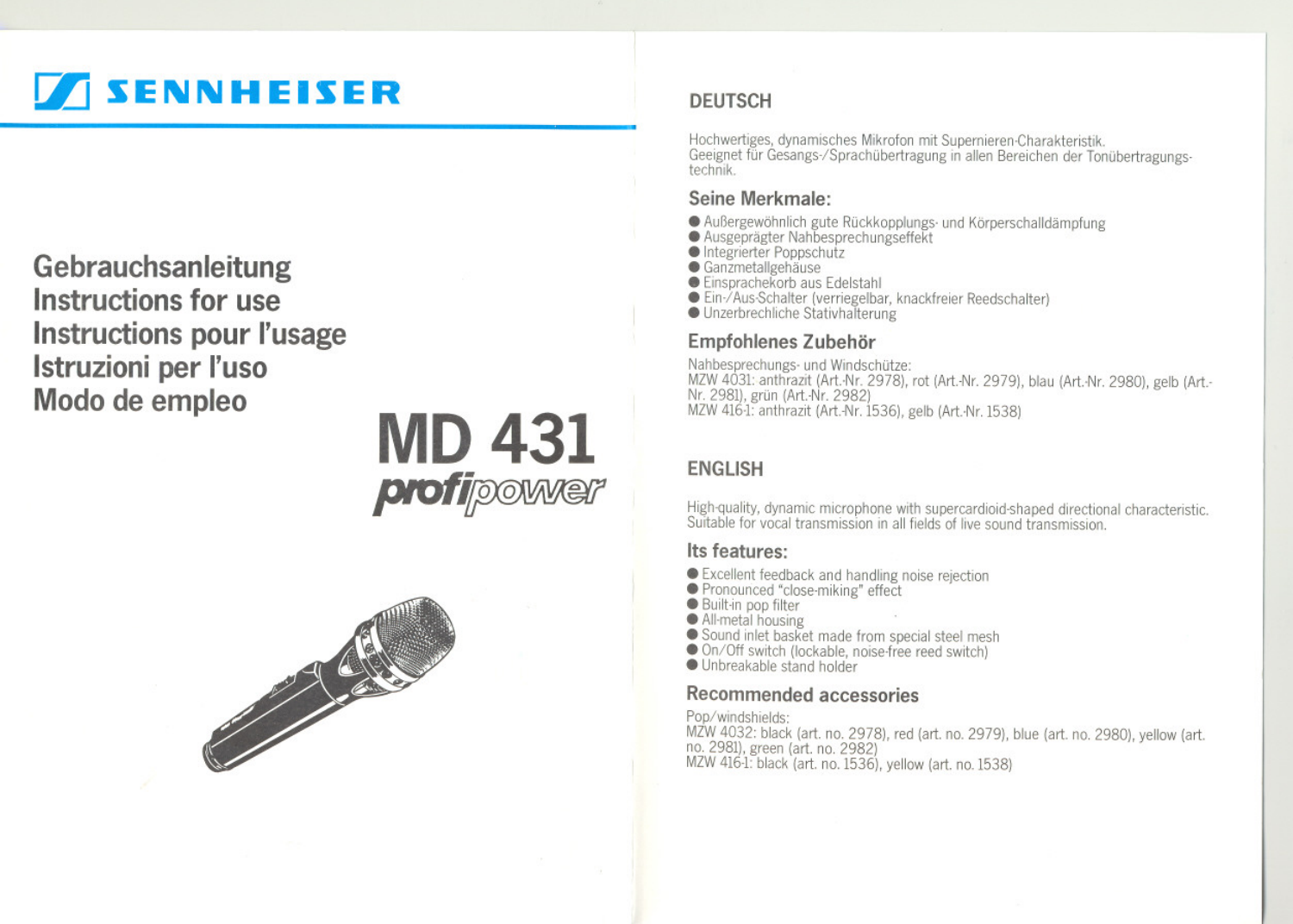# **SENNHEISER**

Gebrauchsanleitung Instructions for use **Instructions pour l'usage** Istruzioni per l'uso Modo de empleo





## **DEUTSCH**

Hochwertiges, dynamisches Mikrofon mit Supernieren-Charakteristik. Geeignet für Gesangs-/Sprachübertragung in allen Bereichen der Tonübertragungstechnik.

## Seine Merkmale:

- · Außergewöhnlich gute Rückkopplungs- und Körperschalldämpfung
- Ausgeprägter Nahbesprechungseffekt
- Integrierter Poppschutz
- $\bullet$  Ganzmetallgehäuse
- Einsprachekorb aus Edelstahl
- Ein-/Aus-Schalter (verriegelbar, knackfreier Reedschalter)
- Unzerbrechliche Stativhalterung

## Empfohlenes Zubehör

Nahbesprechungs- und Windschütze: MZW 4031: anthrazit (Art.-Nr. 2978), rot (Art.-Nr. 2979), blau (Art.-Nr. 2980), gelb (Art.-Nr. 2981), grün (Art.-Nr. 2982) MZW 416-1: anthrazit (Art.-Nr. 1536), gelb (Art.-Nr. 1538)

## **ENGLISH**

High-quality, dynamic microphone with supercardioid-shaped directional characteristic. Suitable for vocal transmission in all fields of live sound transmission

## Its features:

- Excellent feedback and handling noise rejection
- Pronounced "close-miking" effect
- Built-in pop filter
- All-metal housing
- Sound inlet basket made from special steel mesh<br>● On/Off switch (lockable, noise-free reed switch)
- 
- · Unbreakable stand holder

## Recommended accessories

Pop/windshields: MZW 4032: black (art. no. 2978), red (art. no. 2979), blue (art. no. 2980), yellow (art. no. 2981), green (art. no. 2982) MZW 416-1: black (art. no. 1536), yellow (art. no. 1538)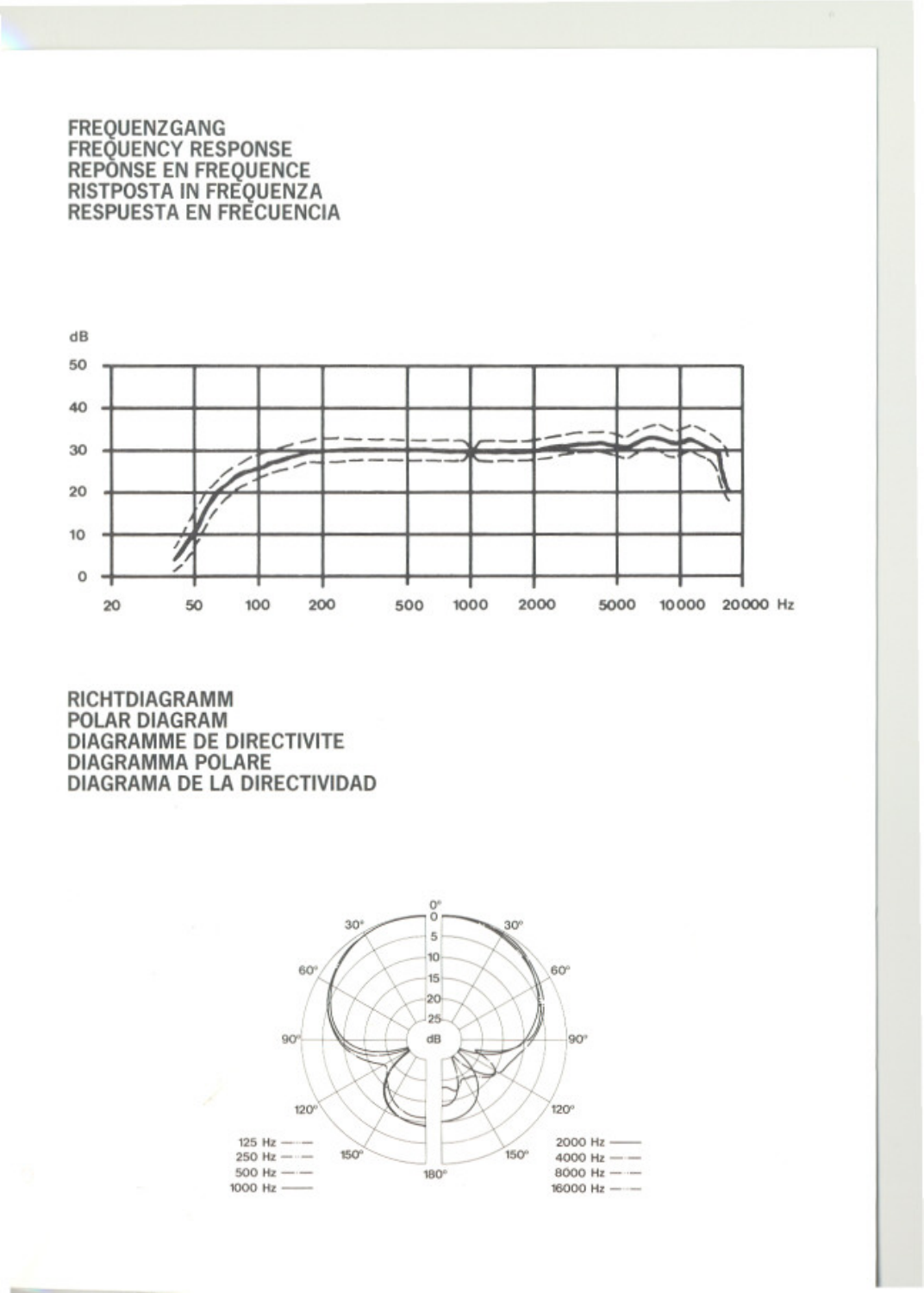#### **FREOUENZGANG** FREQUENCY RESPONSE **REPONSE EN FREQUENCE RISTPOSTA IN FREQUENZA RESPUESTA EN FRECUENCIA**



RICHTDIAGRAMM **POLAR DIAGRAM DIAGRAMME DE DIRECTIVITE DIAGRAMMA POLARE DIAGRAMA DE LA DIRECTIVIDAD** 

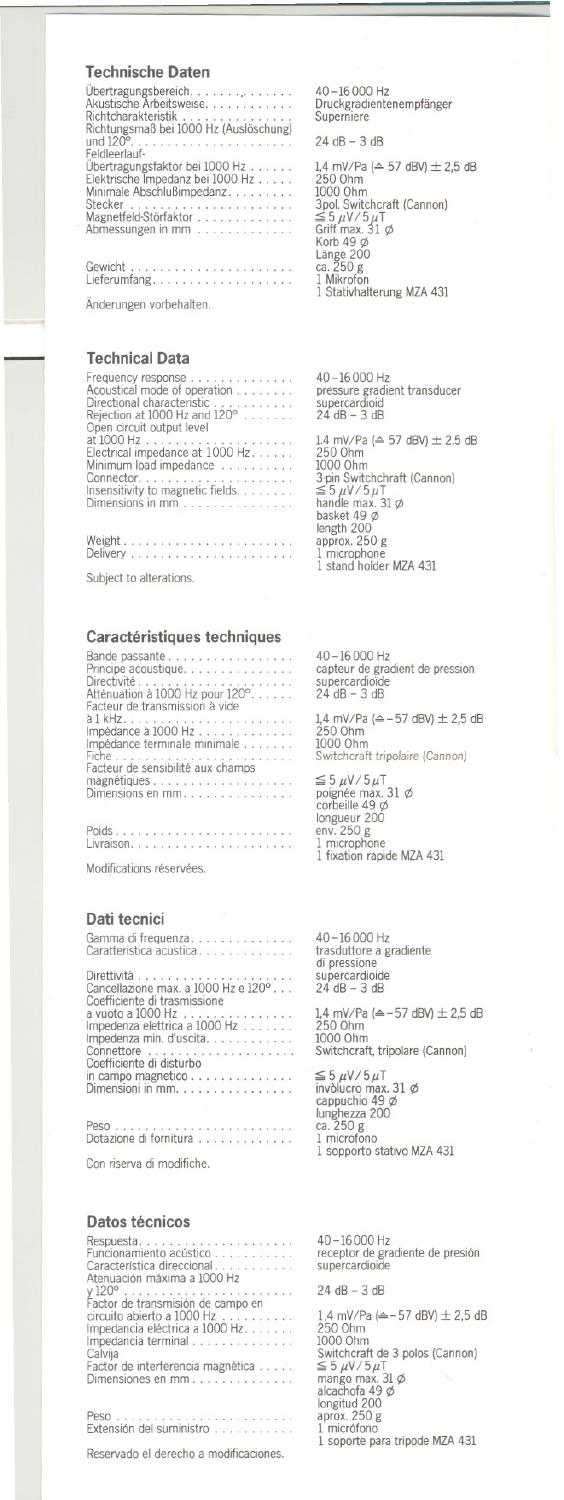## **Technische Daten**

Nichtungsmaß bei 1000 Hz (Auslöschung)<br>und 120°. unu ⊥∠∪°.<br>Feldleerlauf-. . . . . . . . . . . . . . . . . . Feldleerlauf<br>Übertragungsfaktor bei 1000 Hz<br>Elektrische Impedanz bei 1000 Hz<br>Minimale Abschlußimpedanz Stecker . . . . . . . . . . . . Stecker<br>Magnetfeld-Störfaktor<br>Abmessungen in mm Gewicht

Gewicht......................<br>Lieferumfang.................. Änderungen vorbehalten.

## **Technical Data**

For experience<br>
Frequency response<br>
Acoustical mode of operation<br>
Directional characteristic<br>
Rejection at 1000 Hz and 120<sup>o</sup><br>
Open circuit output level at  $1000 Hz$ . . . . at 1000 Hz<br>Electrical impedance at 1000 Hz<br>Minimum load impedance Connector.<br>
Insensitivity to magnetic fields.<br>
Dimensions in mm Mainlei

Subject to alterations.

## Caractéristiques techniques

| Bande passante                    |  |
|-----------------------------------|--|
| Principe acoustique.              |  |
| Directivité                       |  |
| Atténuation à 1000 Hz pour 120°   |  |
| Facteur de transmission à vide    |  |
|                                   |  |
| Impédance à 1000 Hz               |  |
| Impédance terminale minimale      |  |
|                                   |  |
| Facteur de sensibilité aux champs |  |
| magnétiques                       |  |
| Dimensions en mm.                 |  |
|                                   |  |
|                                   |  |

Modifications réservées.

### Dati tecnici

| Gamma di frequenza<br>Caratteristica acustica   |  |  |  |  |  |  |  |
|-------------------------------------------------|--|--|--|--|--|--|--|
|                                                 |  |  |  |  |  |  |  |
|                                                 |  |  |  |  |  |  |  |
| Coefficiente di trasmissione                    |  |  |  |  |  |  |  |
| a vuoto a 1000 Hz $\ldots \ldots \ldots \ldots$ |  |  |  |  |  |  |  |
| Impedenza elettrica a 1000 Hz                   |  |  |  |  |  |  |  |
| Impedenza min. d'uscita.                        |  |  |  |  |  |  |  |
| Coefficiente di disturbo                        |  |  |  |  |  |  |  |
|                                                 |  |  |  |  |  |  |  |
| Dimensioni in mm.                               |  |  |  |  |  |  |  |
|                                                 |  |  |  |  |  |  |  |
| Dotazione di fornitura                          |  |  |  |  |  |  |  |
|                                                 |  |  |  |  |  |  |  |

Con riserva di modifiche.

## Datos técnicos

| Respuesta                         |  |
|-----------------------------------|--|
| Funcionamiento acústico           |  |
| Característica direccional        |  |
| Atenuación máxima a 1000 Hz       |  |
|                                   |  |
| Factor de transmisión de campo en |  |
| circuito abierto a 1000 Hz        |  |
|                                   |  |
| Impedancia eléctrica a 1000 Hz    |  |
| Impedancia terminal               |  |
| Calvija                           |  |
| Factor de interferencia magnética |  |
| Dimensiones en mm                 |  |
|                                   |  |
|                                   |  |
|                                   |  |
| Extensión del suministro          |  |

Reservado el derecho a modificaciones.

40-16000 Hz Druckgradientenempfänger<br>Superniere

 $24 dB - 3 dB$ 

1,4 mV/Pa ( $\triangle$  57 dBV)  $\pm$  2,5 dB 1,4 mV/Pa ( $\cong$  5/ dBV) ± 2<br>250 0hm<br>1000 0hm<br>3pol. Switchcraft (Cannon)<br> $\leq$  5 μV/5μT<br>Griff max, 31 φ Grift max. 31<br>Korb 49 ø<br>Länge 200<br>Ca. 250 g<br>1 Stativhalterung MZA 431

 $40 - 16000$  Hz pressure gradient transducer<br>supercardioid  $24$  dB  $-3$  dB

1.4 mV/Pa ( $\triangle$  57 dBV)  $\pm$  2.5 dB<br>250 Ohm 250 Ohm<br>
1000 Ohm<br>
3-pin Switchchraft (Cannon)<br>  $\leq$  5  $\mu$ V / 5 $\mu$ T<br>
handle max. 31  $\phi$ <br>
length 200<br>
length 200<br>
1 mixcobong 1 microphone<br>1 microphone<br>1 stand holder MZA 431

40-16000 Hz capteur de gradient de pression<br>supercardioïde<br>24 dB – 3 dB

1,4 mV/Pa (≙-57 dBV) ± 2,5 dB<br>250 Ohm<br>1000 Ohm Switchcraft tripolaire (Cannon)

 $\leq$  5  $\mu$ V / 5  $\mu$ T<br>poignée max.<br>corbeille 49  $\phi$  $31\phi$ corpellie 49 Ø<br>longueur 200<br>env. 250 g<br>1 microphone<br>1 fixation rapide MZA 431

40-16000 Hz trasduttore a gradiente<br>di pressione supercardioide<br> $24 dB - 3 dB$ 

1,4 mV/Pa (≙-57 dBV) ± 2,5 dB<br>250 Ohm<br>1000 Ohm witchcraft, tripolare (Cannon)

 $\leq 5 \mu V/5 \mu T$ <br>invòlucro max. 31  $\phi$ <br>cappuchio 49  $\phi$ cappacino<br>
lunghezza 200<br>
ca. 250 g<br>
1 microfono<br>
1 sopporto stativo MZA 431

40-16000 Hz receptor de gradiente de presión<br>supercardioide

 $24 dB - 3 dB$ 

1,4 mV/Pa ( $\triangle$  - 57 dBV)  $\pm$  2,5 dB 250 Ohm 1000 Ohm<br>
Switchcraft de 3 polos (Cannon)<br>
Surtchcraft de 3 polos (Cannon)<br>
Surtchcraft de 3 polos<br>
longitud 200<br>
longitud 200<br>
aprox. 250 g<br>
1 micrófono<br>
1 soporte para tripode MZA 431